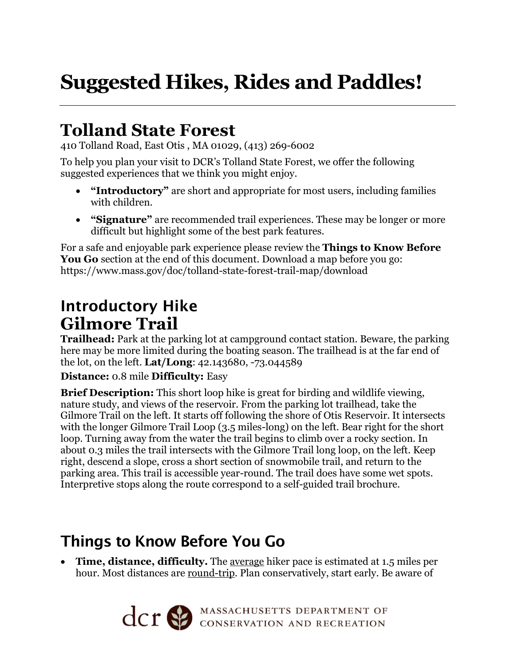# **Suggested Hikes, Rides and Paddles!**

## **Tolland State Forest**

410 Tolland Road, East Otis , MA 01029, (413) 269-6002

To help you plan your visit to DCR's Tolland State Forest, we offer the following suggested experiences that we think you might enjoy.

- **"Introductory"** are short and appropriate for most users, including families with children.
- **"Signature"** are recommended trail experiences. These may be longer or more difficult but highlight some of the best park features.

For a safe and enjoyable park experience please review the **Things to Know Before You Go** section at the end of this document. Download a map before you go: https://www.mass.gov/doc/tolland-state-forest-trail-map/download

### Introductory Hike **Gilmore Trail**

**Trailhead:** Park at the parking lot at campground contact station. Beware, the parking here may be more limited during the boating season. The trailhead is at the far end of the lot, on the left. **Lat/Long**: 42.143680, -73.044589

#### **Distance:** 0.8 mile **Difficulty:** Easy

**Brief Description:** This short loop hike is great for birding and wildlife viewing, nature study, and views of the reservoir. From the parking lot trailhead, take the Gilmore Trail on the left. It starts off following the shore of Otis Reservoir. It intersects with the longer Gilmore Trail Loop (3.5 miles-long) on the left. Bear right for the short loop. Turning away from the water the trail begins to climb over a rocky section. In about 0.3 miles the trail intersects with the Gilmore Trail long loop, on the left. Keep right, descend a slope, cross a short section of snowmobile trail, and return to the parking area. This trail is accessible year-round. The trail does have some wet spots. Interpretive stops along the route correspond to a self-guided trail brochure.

### Things to Know Before You Go

• **Time, distance, difficulty.** The average hiker pace is estimated at 1.5 miles per hour. Most distances are round-trip. Plan conservatively, start early. Be aware of